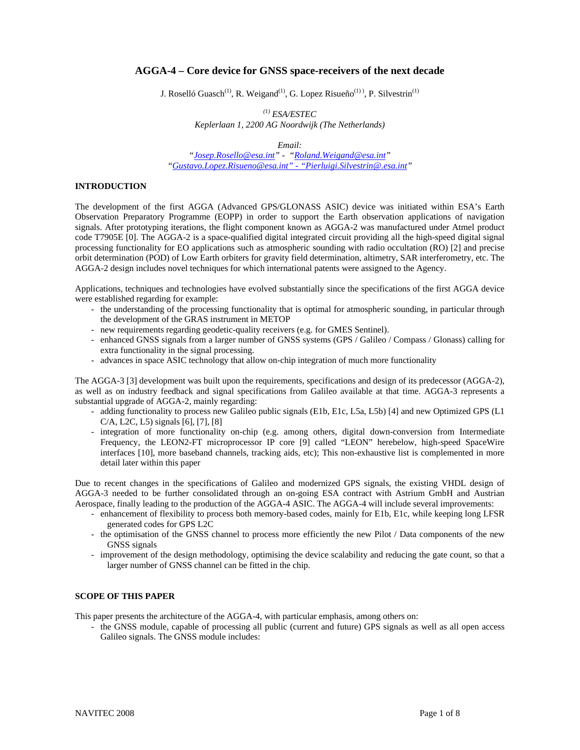# **AGGA-4 – Core device for GNSS space-receivers of the next decade**

J. Roselló Guasch<sup>(1)</sup>, R. Weigand<sup>(1)</sup>, G. Lopez Risueño<sup>(1)</sup>), P. Silvestrin<sup>(1)</sup>

*(1) ESA/ESTEC Keplerlaan 1, 2200 AG Noordwijk (The Netherlands)* 

*Email:* 

*"Josep.Rosello@esa.int" - "Roland.Weigand@esa.int" "Gustavo.Lopez.Risueno@esa.int" - "Pierluigi.Silvestrin@.esa.int"* 

## **INTRODUCTION**

The development of the first AGGA (Advanced GPS/GLONASS ASIC) device was initiated within ESA's Earth Observation Preparatory Programme (EOPP) in order to support the Earth observation applications of navigation signals. After prototyping iterations, the flight component known as AGGA-2 was manufactured under Atmel product code T7905E [0]. The AGGA-2 is a space-qualified digital integrated circuit providing all the high-speed digital signal processing functionality for EO applications such as atmospheric sounding with radio occultation (RO) [2] and precise orbit determination (POD) of Low Earth orbiters for gravity field determination, altimetry, SAR interferometry, etc. The AGGA-2 design includes novel techniques for which international patents were assigned to the Agency.

Applications, techniques and technologies have evolved substantially since the specifications of the first AGGA device were established regarding for example:

- the understanding of the processing functionality that is optimal for atmospheric sounding, in particular through the development of the GRAS instrument in METOP
- new requirements regarding geodetic-quality receivers (e.g. for GMES Sentinel).
- enhanced GNSS signals from a larger number of GNSS systems (GPS / Galileo / Compass / Glonass) calling for extra functionality in the signal processing.
- advances in space ASIC technology that allow on-chip integration of much more functionality

The AGGA-3 [3] development was built upon the requirements, specifications and design of its predecessor (AGGA-2), as well as on industry feedback and signal specifications from Galileo available at that time. AGGA-3 represents a substantial upgrade of AGGA-2, mainly regarding:

- adding functionality to process new Galileo public signals (E1b, E1c, L5a, L5b) [4] and new Optimized GPS (L1 C/A, L2C, L5) signals [6], [7], [8]
- integration of more functionality on-chip (e.g. among others, digital down-conversion from Intermediate Frequency, the LEON2-FT microprocessor IP core [9] called "LEON" herebelow, high-speed SpaceWire interfaces [10], more baseband channels, tracking aids, etc); This non-exhaustive list is complemented in more detail later within this paper

Due to recent changes in the specifications of Galileo and modernized GPS signals, the existing VHDL design of AGGA-3 needed to be further consolidated through an on-going ESA contract with Astrium GmbH and Austrian Aerospace, finally leading to the production of the AGGA-4 ASIC. The AGGA-4 will include several improvements:

- enhancement of flexibility to process both memory-based codes, mainly for E1b, E1c, while keeping long LFSR generated codes for GPS L2C
- the optimisation of the GNSS channel to process more efficiently the new Pilot / Data components of the new GNSS signals
- improvement of the design methodology, optimising the device scalability and reducing the gate count, so that a larger number of GNSS channel can be fitted in the chip.

## **SCOPE OF THIS PAPER**

This paper presents the architecture of the AGGA-4, with particular emphasis, among others on:

- the GNSS module, capable of processing all public (current and future) GPS signals as well as all open access Galileo signals. The GNSS module includes: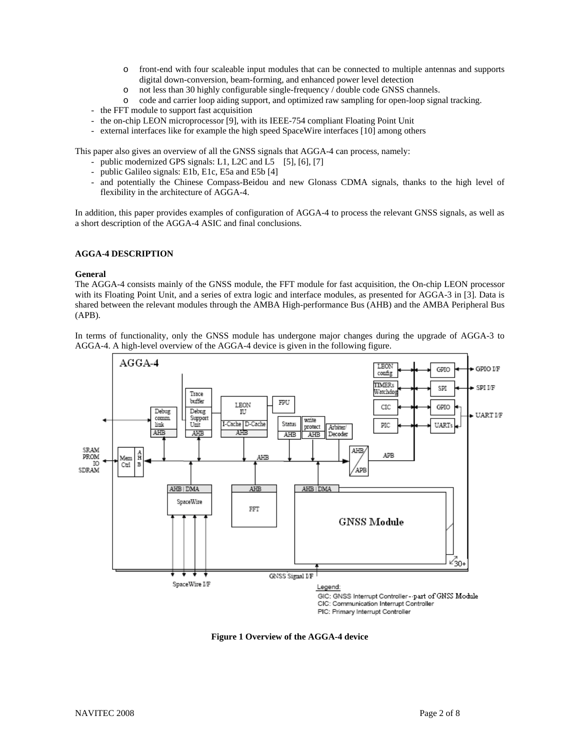- o front-end with four scaleable input modules that can be connected to multiple antennas and supports digital down-conversion, beam-forming, and enhanced power level detection
- o not less than 30 highly configurable single-frequency / double code GNSS channels.
- o code and carrier loop aiding support, and optimized raw sampling for open-loop signal tracking.
- the FFT module to support fast acquisition
- the on-chip LEON microprocessor [9], with its IEEE-754 compliant Floating Point Unit
- external interfaces like for example the high speed SpaceWire interfaces [10] among others

This paper also gives an overview of all the GNSS signals that AGGA-4 can process, namely:

- public modernized GPS signals: L1, L2C and L5 [5], [6], [7]
- public Galileo signals: E1b, E1c, E5a and E5b [4]
- and potentially the Chinese Compass-Beidou and new Glonass CDMA signals, thanks to the high level of flexibility in the architecture of AGGA-4.

In addition, this paper provides examples of configuration of AGGA-4 to process the relevant GNSS signals, as well as a short description of the AGGA-4 ASIC and final conclusions.

## **AGGA-4 DESCRIPTION**

## **General**

The AGGA-4 consists mainly of the GNSS module, the FFT module for fast acquisition, the On-chip LEON processor with its Floating Point Unit, and a series of extra logic and interface modules, as presented for AGGA-3 in [3]. Data is shared between the relevant modules through the AMBA High-performance Bus (AHB) and the AMBA Peripheral Bus (APB).

In terms of functionality, only the GNSS module has undergone major changes during the upgrade of AGGA-3 to AGGA-4. A high-level overview of the AGGA-4 device is given in the following figure.



**Figure 1 Overview of the AGGA-4 device**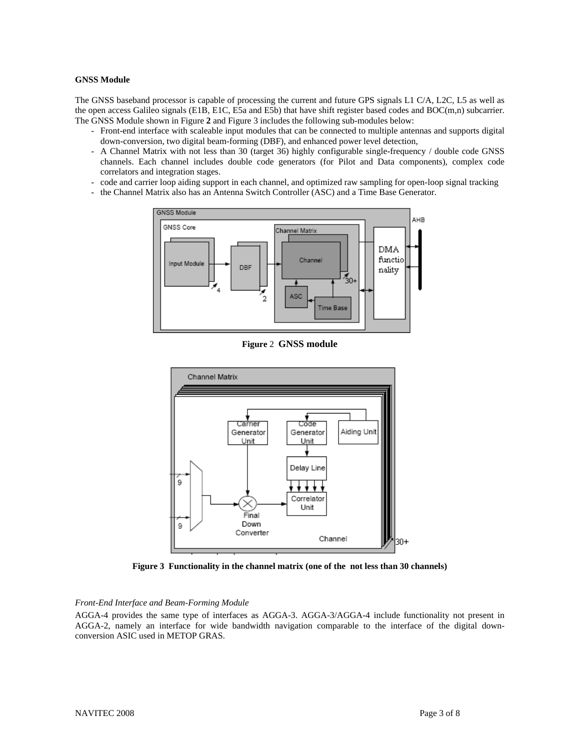#### **GNSS Module**

The GNSS baseband processor is capable of processing the current and future GPS signals L1 C/A, L2C, L5 as well as the open access Galileo signals (E1B, E1C, E5a and E5b) that have shift register based codes and BOC(m,n) subcarrier. The GNSS Module shown in Figure **2** and Figure 3 includes the following sub-modules below:

- Front-end interface with scaleable input modules that can be connected to multiple antennas and supports digital down-conversion, two digital beam-forming (DBF), and enhanced power level detection,
- A Channel Matrix with not less than 30 (target 36) highly configurable single-frequency / double code GNSS channels. Each channel includes double code generators (for Pilot and Data components), complex code correlators and integration stages.
- code and carrier loop aiding support in each channel, and optimized raw sampling for open-loop signal tracking
- the Channel Matrix also has an Antenna Switch Controller (ASC) and a Time Base Generator.



**Figure** 2 **GNSS module**



**Figure 3 Functionality in the channel matrix (one of the not less than 30 channels)** 

#### *Front-End Interface and Beam-Forming Module*

AGGA-4 provides the same type of interfaces as AGGA-3. AGGA-3/AGGA-4 include functionality not present in AGGA-2, namely an interface for wide bandwidth navigation comparable to the interface of the digital downconversion ASIC used in METOP GRAS.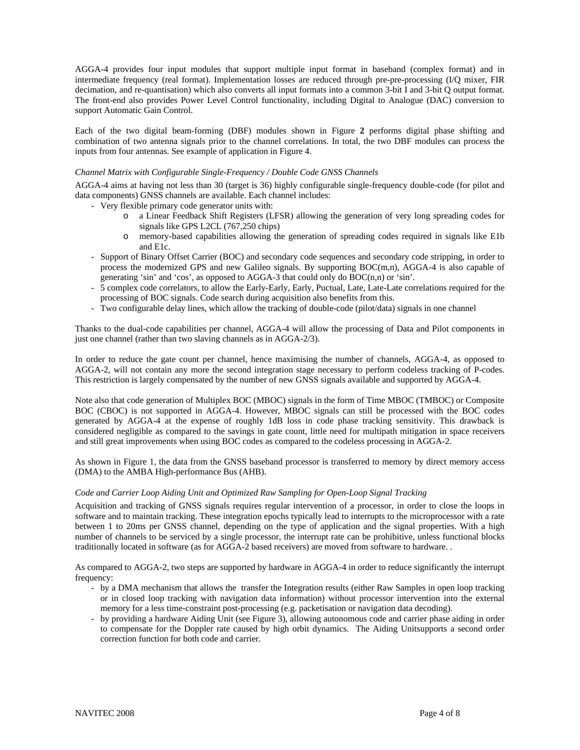AGGA-4 provides four input modules that support multiple input format in baseband (complex format) and in intermediate frequency (real format). Implementation losses are reduced through pre-pre-processing (I/Q mixer, FIR decimation, and re-quantisation) which also converts all input formats into a common 3-bit I and 3-bit Q output format. The front-end also provides Power Level Control functionality, including Digital to Analogue (DAC) conversion to support Automatic Gain Control.

Each of the two digital beam-forming (DBF) modules shown in Figure **2** performs digital phase shifting and combination of two antenna signals prior to the channel correlations. In total, the two DBF modules can process the inputs from four antennas. See example of application in Figure 4.

### *Channel Matrix with Configurable Single-Frequency / Double Code GNSS Channels*

AGGA-4 aims at having not less than 30 (target is 36) highly configurable single-frequency double-code (for pilot and data components) GNSS channels are available. Each channel includes:

- Very flexible primary code generator units with:
	- o a Linear Feedback Shift Registers (LFSR) allowing the generation of very long spreading codes for signals like GPS L2CL (767,250 chips)
	- o memory-based capabilities allowing the generation of spreading codes required in signals like E1b and E1c.
- Support of Binary Offset Carrier (BOC) and secondary code sequences and secondary code stripping, in order to process the modernized GPS and new Galileo signals. By supporting BOC(m,n), AGGA-4 is also capable of generating 'sin' and 'cos', as opposed to AGGA-3 that could only do BOC(n,n) or 'sin'.
- 5 complex code correlators, to allow the Early-Early, Early, Puctual, Late, Late-Late correlations required for the processing of BOC signals. Code search during acquisition also benefits from this.
- Two configurable delay lines, which allow the tracking of double-code (pilot/data) signals in one channel

Thanks to the dual-code capabilities per channel, AGGA-4 will allow the processing of Data and Pilot components in just one channel (rather than two slaving channels as in AGGA-2/3).

In order to reduce the gate count per channel, hence maximising the number of channels, AGGA-4, as opposed to AGGA-2, will not contain any more the second integration stage necessary to perform codeless tracking of P-codes. This restriction is largely compensated by the number of new GNSS signals available and supported by AGGA-4.

Note also that code generation of Multiplex BOC (MBOC) signals in the form of Time MBOC (TMBOC) or Composite BOC (CBOC) is not supported in AGGA-4. However, MBOC signals can still be processed with the BOC codes generated by AGGA-4 at the expense of roughly 1dB loss in code phase tracking sensitivity. This drawback is considered negligible as compared to the savings in gate count, little need for multipath mitigation in space receivers and still great improvements when using BOC codes as compared to the codeless processing in AGGA-2.

As shown in Figure 1, the data from the GNSS baseband processor is transferred to memory by direct memory access (DMA) to the AMBA High-performance Bus (AHB).

#### *Code and Carrier Loop Aiding Unit and Optimized Raw Sampling for Open-Loop Signal Tracking*

Acquisition and tracking of GNSS signals requires regular intervention of a processor, in order to close the loops in software and to maintain tracking. These integration epochs typically lead to interrupts to the microprocessor with a rate between 1 to 20ms per GNSS channel, depending on the type of application and the signal properties. With a high number of channels to be serviced by a single processor, the interrupt rate can be prohibitive, unless functional blocks traditionally located in software (as for AGGA-2 based receivers) are moved from software to hardware. .

As compared to AGGA-2, two steps are supported by hardware in AGGA-4 in order to reduce significantly the interrupt frequency:

- by a DMA mechanism that allows the transfer the Integration results (either Raw Samples in open loop tracking or in closed loop tracking with navigation data information) without processor intervention into the external memory for a less time-constraint post-processing (e.g. packetisation or navigation data decoding).
- by providing a hardware Aiding Unit (see Figure 3), allowing autonomous code and carrier phase aiding in order to compensate for the Doppler rate caused by high orbit dynamics. The Aiding Unitsupports a second order correction function for both code and carrier.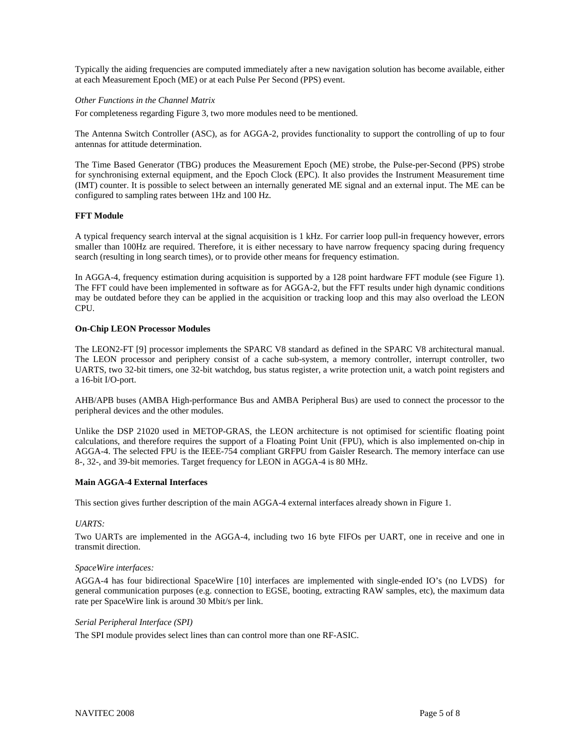Typically the aiding frequencies are computed immediately after a new navigation solution has become available, either at each Measurement Epoch (ME) or at each Pulse Per Second (PPS) event.

### *Other Functions in the Channel Matrix*

For completeness regarding Figure 3, two more modules need to be mentioned.

The Antenna Switch Controller (ASC), as for AGGA-2, provides functionality to support the controlling of up to four antennas for attitude determination.

The Time Based Generator (TBG) produces the Measurement Epoch (ME) strobe, the Pulse-per-Second (PPS) strobe for synchronising external equipment, and the Epoch Clock (EPC). It also provides the Instrument Measurement time (IMT) counter. It is possible to select between an internally generated ME signal and an external input. The ME can be configured to sampling rates between 1Hz and 100 Hz.

#### **FFT Module**

A typical frequency search interval at the signal acquisition is 1 kHz. For carrier loop pull-in frequency however, errors smaller than 100Hz are required. Therefore, it is either necessary to have narrow frequency spacing during frequency search (resulting in long search times), or to provide other means for frequency estimation.

In AGGA-4, frequency estimation during acquisition is supported by a 128 point hardware FFT module (see Figure 1). The FFT could have been implemented in software as for AGGA-2, but the FFT results under high dynamic conditions may be outdated before they can be applied in the acquisition or tracking loop and this may also overload the LEON CPU.

#### **On-Chip LEON Processor Modules**

The LEON2-FT [9] processor implements the SPARC V8 standard as defined in the SPARC V8 architectural manual. The LEON processor and periphery consist of a cache sub-system, a memory controller, interrupt controller, two UARTS, two 32-bit timers, one 32-bit watchdog, bus status register, a write protection unit, a watch point registers and a 16-bit I/O-port.

AHB/APB buses (AMBA High-performance Bus and AMBA Peripheral Bus) are used to connect the processor to the peripheral devices and the other modules.

Unlike the DSP 21020 used in METOP-GRAS, the LEON architecture is not optimised for scientific floating point calculations, and therefore requires the support of a Floating Point Unit (FPU), which is also implemented on-chip in AGGA-4. The selected FPU is the IEEE-754 compliant GRFPU from Gaisler Research. The memory interface can use 8-, 32-, and 39-bit memories. Target frequency for LEON in AGGA-4 is 80 MHz.

## **Main AGGA-4 External Interfaces**

This section gives further description of the main AGGA-4 external interfaces already shown in Figure 1.

#### *UARTS:*

Two UARTs are implemented in the AGGA-4, including two 16 byte FIFOs per UART, one in receive and one in transmit direction.

## *SpaceWire interfaces:*

AGGA-4 has four bidirectional SpaceWire [10] interfaces are implemented with single-ended IO's (no LVDS) for general communication purposes (e.g. connection to EGSE, booting, extracting RAW samples, etc), the maximum data rate per SpaceWire link is around 30 Mbit/s per link.

## *Serial Peripheral Interface (SPI)*

The SPI module provides select lines than can control more than one RF-ASIC.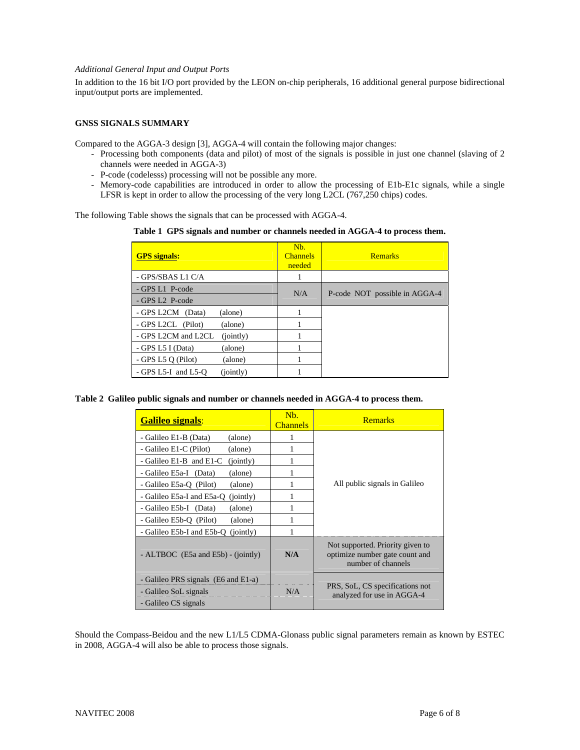## *Additional General Input and Output Ports*

In addition to the 16 bit I/O port provided by the LEON on-chip peripherals, 16 additional general purpose bidirectional input/output ports are implemented.

# **GNSS SIGNALS SUMMARY**

Compared to the AGGA-3 design [3], AGGA-4 will contain the following major changes:

- Processing both components (data and pilot) of most of the signals is possible in just one channel (slaving of 2 channels were needed in AGGA-3)
- P-code (codelesss) processing will not be possible any more.
- Memory-code capabilities are introduced in order to allow the processing of E1b-E1c signals, while a single LFSR is kept in order to allow the processing of the very long L2CL (767,250 chips) codes.

The following Table shows the signals that can be processed with AGGA-4.

**Table 1 GPS signals and number or channels needed in AGGA-4 to process them.** 

| <b>GPS</b> signals:                | N <sub>b</sub><br><b>Channels</b><br>needed | <b>Remarks</b>                |
|------------------------------------|---------------------------------------------|-------------------------------|
| - GPS/SBAS L1 C/A                  |                                             |                               |
| - GPS L1 P-code                    | N/A                                         | P-code NOT possible in AGGA-4 |
| - GPS L2 P-code                    |                                             |                               |
| - GPS L2CM (Data)<br>(alone)       |                                             |                               |
| - GPS L2CL (Pilot)<br>(alone)      |                                             |                               |
| - GPS L2CM and L2CL<br>(jointly)   |                                             |                               |
| - GPS L5 I (Data)<br>(alone)       |                                             |                               |
| - GPS L5 $Q$ (Pilot)<br>(alone)    |                                             |                               |
| (jointly)<br>$-$ GPS L5-I and L5-O |                                             |                               |

**Table 2 Galileo public signals and number or channels needed in AGGA-4 to process them.** 

| <b>Galileo signals:</b>                | N <sub>b</sub><br><b>Channels</b> | <b>Remarks</b>                                                                           |
|----------------------------------------|-----------------------------------|------------------------------------------------------------------------------------------|
| - Galileo E1-B (Data)<br>(alone)       |                                   | All public signals in Galileo                                                            |
| - Galileo E1-C (Pilot)<br>(alone)      |                                   |                                                                                          |
| - Galileo E1-B and E1-C<br>(jointly)   | 1                                 |                                                                                          |
| - Galileo E5a-I (Data)<br>(alone)      |                                   |                                                                                          |
| - Galileo E5a-Q (Pilot)<br>(alone)     | 1                                 |                                                                                          |
| - Galileo E5a-I and E5a-O<br>(jointly) |                                   |                                                                                          |
| - Galileo E5b-I (Data)<br>(alone)      | 1                                 |                                                                                          |
| - Galileo E5b-Q (Pilot)<br>(alone)     | 1                                 |                                                                                          |
| - Galileo E5b-I and E5b-O<br>(jointly) | 1                                 |                                                                                          |
| - ALTBOC (E5a and E5b) - (jointly)     | N/A                               | Not supported. Priority given to<br>optimize number gate count and<br>number of channels |
| - Galileo PRS signals (E6 and E1-a)    | N/A                               | PRS, SoL, CS specifications not<br>analyzed for use in AGGA-4                            |
| - Galileo SoL signals                  |                                   |                                                                                          |
| - Galileo CS signals                   |                                   |                                                                                          |

Should the Compass-Beidou and the new L1/L5 CDMA-Glonass public signal parameters remain as known by ESTEC in 2008, AGGA-4 will also be able to process those signals.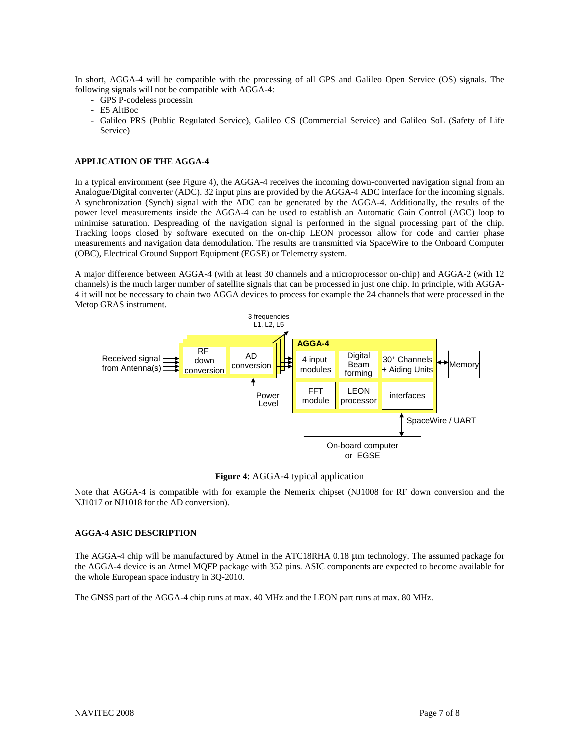In short, AGGA-4 will be compatible with the processing of all GPS and Galileo Open Service (OS) signals. The following signals will not be compatible with AGGA-4:

- GPS P-codeless processin
- E5 AltBoc
- Galileo PRS (Public Regulated Service), Galileo CS (Commercial Service) and Galileo SoL (Safety of Life Service)

### **APPLICATION OF THE AGGA-4**

In a typical environment (see Figure 4), the AGGA-4 receives the incoming down-converted navigation signal from an Analogue/Digital converter (ADC). 32 input pins are provided by the AGGA-4 ADC interface for the incoming signals. A synchronization (Synch) signal with the ADC can be generated by the AGGA-4. Additionally, the results of the power level measurements inside the AGGA-4 can be used to establish an Automatic Gain Control (AGC) loop to minimise saturation. Despreading of the navigation signal is performed in the signal processing part of the chip. Tracking loops closed by software executed on the on-chip LEON processor allow for code and carrier phase measurements and navigation data demodulation. The results are transmitted via SpaceWire to the Onboard Computer (OBC), Electrical Ground Support Equipment (EGSE) or Telemetry system.

A major difference between AGGA-4 (with at least 30 channels and a microprocessor on-chip) and AGGA-2 (with 12 channels) is the much larger number of satellite signals that can be processed in just one chip. In principle, with AGGA-4 it will not be necessary to chain two AGGA devices to process for example the 24 channels that were processed in the Metop GRAS instrument.



**Figure 4**: AGGA-4 typical application

Note that AGGA-4 is compatible with for example the Nemerix chipset (NJ1008 for RF down conversion and the NJ1017 or NJ1018 for the AD conversion).

#### **AGGA-4 ASIC DESCRIPTION**

The AGGA-4 chip will be manufactured by Atmel in the ATC18RHA 0.18 μm technology. The assumed package for the AGGA-4 device is an Atmel MQFP package with 352 pins. ASIC components are expected to become available for the whole European space industry in 3Q-2010.

The GNSS part of the AGGA-4 chip runs at max. 40 MHz and the LEON part runs at max. 80 MHz.